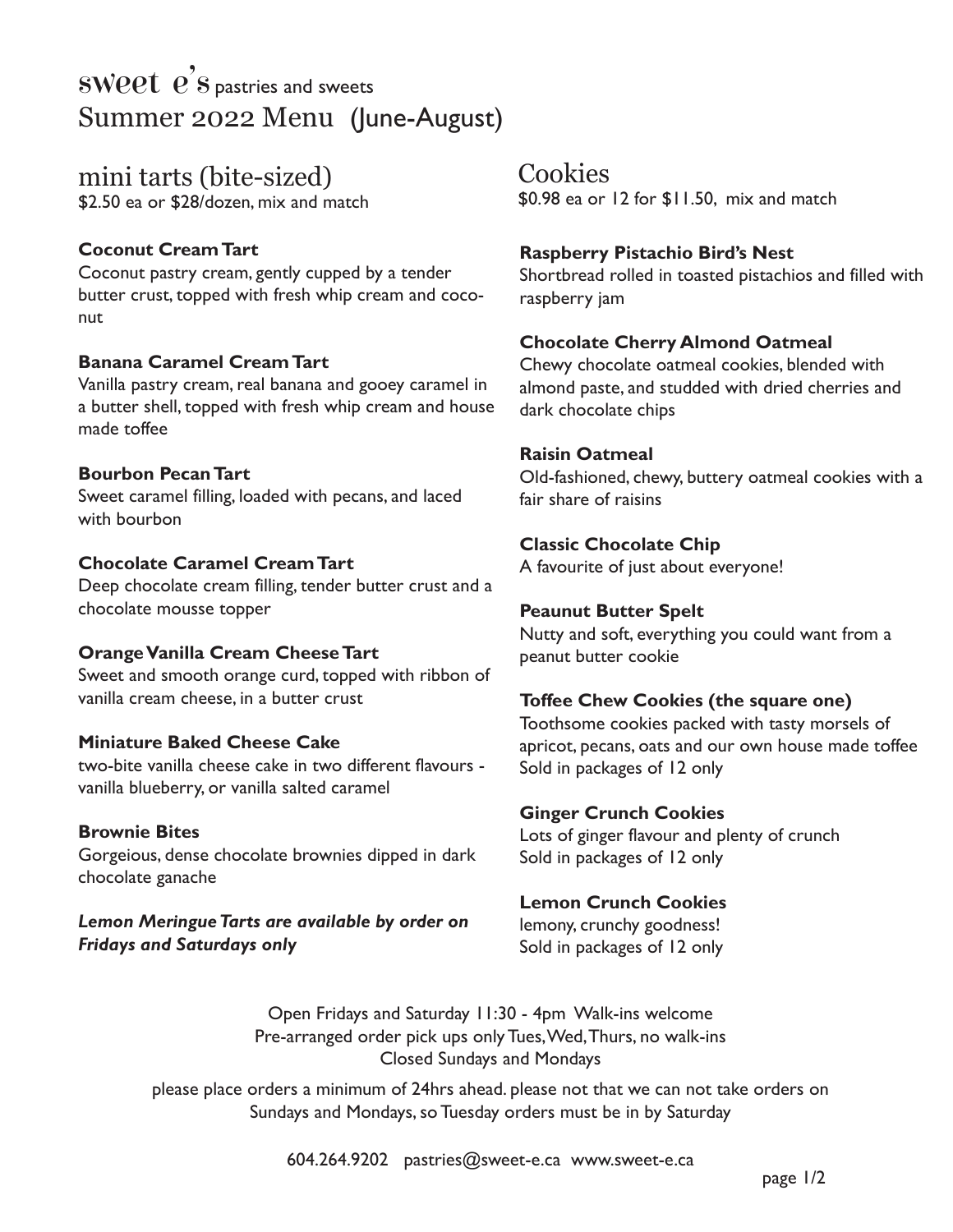# **SWPPL**  $\overrightarrow{e}$  S pastries and sweets Summer 2022 Menu (June-August)

mini tarts (bite-sized) \$2.50 ea or \$28/dozen, mix and match

# **Coconut Cream Tart**

Coconut pastry cream, gently cupped by a tender butter crust, topped with fresh whip cream and coconut

### **Banana Caramel Cream Tart**

Vanilla pastry cream, real banana and gooey caramel in a butter shell, topped with fresh whip cream and house made toffee

### **Bourbon Pecan Tart**

Sweet caramel filling, loaded with pecans, and laced with bourbon

### **Chocolate Caramel Cream Tart**

Deep chocolate cream filling, tender butter crust and a chocolate mousse topper

# **Orange Vanilla Cream Cheese Tart**

Sweet and smooth orange curd, topped with ribbon of vanilla cream cheese, in a butter crust

# **Miniature Baked Cheese Cake**

two-bite vanilla cheese cake in two different flavours vanilla blueberry, or vanilla salted caramel

# **Brownie Bites**

Gorgeious, dense chocolate brownies dipped in dark chocolate ganache

*Lemon Meringue Tarts are available by order on Fridays and Saturdays only*

**Cookies** 

\$0.98 ea or 12 for \$11.50, mix and match

## **Raspberry Pistachio Bird's Nest**

Shortbread rolled in toasted pistachios and filled with raspberry jam

### **Chocolate Cherry Almond Oatmeal**

Chewy chocolate oatmeal cookies, blended with almond paste, and studded with dried cherries and dark chocolate chips

### **Raisin Oatmeal**

Old-fashioned, chewy, buttery oatmeal cookies with a fair share of raisins

# **Classic Chocolate Chip**

A favourite of just about everyone!

### **Peaunut Butter Spelt**

Nutty and soft, everything you could want from a peanut butter cookie

### **Toffee Chew Cookies (the square one)**

Toothsome cookies packed with tasty morsels of apricot, pecans, oats and our own house made toffee Sold in packages of 12 only

### **Ginger Crunch Cookies**

Lots of ginger flavour and plenty of crunch Sold in packages of 12 only

### **Lemon Crunch Cookies**

lemony, crunchy goodness! Sold in packages of 12 only

Open Fridays and Saturday 11:30 - 4pm Walk-ins welcome Pre-arranged order pick ups only Tues, Wed, Thurs, no walk-ins Closed Sundays and Mondays

please place orders a minimum of 24hrs ahead. please not that we can not take orders on Sundays and Mondays, so Tuesday orders must be in by Saturday